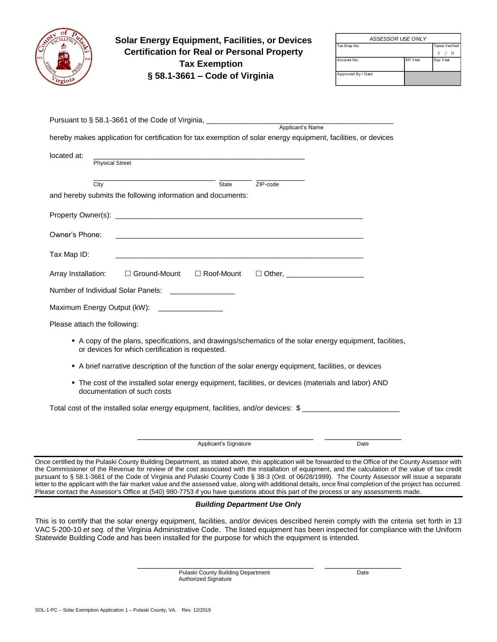|                              | <b>Solar Energy Equipment, Facilities, or Devices</b><br><b>Certification for Real or Personal Property</b>                                                 | ASSESSOR USE ONLY  |          |                         |
|------------------------------|-------------------------------------------------------------------------------------------------------------------------------------------------------------|--------------------|----------|-------------------------|
|                              |                                                                                                                                                             | Tax Map No.        |          | Taxes Verified<br>Y / N |
|                              | <b>Tax Exemption</b>                                                                                                                                        | Account No.        | Eff Year | Exp Year                |
|                              | $\S$ 58.1-3661 – Code of Virginia                                                                                                                           | Approved By / Date |          |                         |
|                              |                                                                                                                                                             |                    |          |                         |
|                              |                                                                                                                                                             |                    |          |                         |
|                              |                                                                                                                                                             |                    |          |                         |
|                              | Pursuant to § 58.1-3661 of the Code of Virginia, ________________________________ Applicant's Name                                                          |                    |          |                         |
|                              | hereby makes application for certification for tax exemption of solar energy equipment, facilities, or devices                                              |                    |          |                         |
|                              |                                                                                                                                                             |                    |          |                         |
| located at:                  | <b>Physical Street</b>                                                                                                                                      |                    |          |                         |
|                              |                                                                                                                                                             |                    |          |                         |
| City                         | State<br>ZIP-code                                                                                                                                           |                    |          |                         |
|                              | and hereby submits the following information and documents:                                                                                                 |                    |          |                         |
|                              |                                                                                                                                                             |                    |          |                         |
|                              |                                                                                                                                                             |                    |          |                         |
| Owner's Phone:               |                                                                                                                                                             |                    |          |                         |
|                              |                                                                                                                                                             |                    |          |                         |
| Tax Map ID:                  |                                                                                                                                                             |                    |          |                         |
|                              |                                                                                                                                                             |                    |          |                         |
| Array Installation:          | $\Box$ Ground-Mount $\Box$ Roof-Mount<br>□ Other, _______________________                                                                                   |                    |          |                         |
|                              |                                                                                                                                                             |                    |          |                         |
|                              | Number of Individual Solar Panels: ________________                                                                                                         |                    |          |                         |
|                              | Maximum Energy Output (kW): _________________                                                                                                               |                    |          |                         |
| Please attach the following: |                                                                                                                                                             |                    |          |                         |
|                              |                                                                                                                                                             |                    |          |                         |
|                              | A copy of the plans, specifications, and drawings/schematics of the solar energy equipment, facilities,<br>or devices for which certification is requested. |                    |          |                         |
|                              |                                                                                                                                                             |                    |          |                         |
|                              | A brief narrative description of the function of the solar energy equipment, facilities, or devices                                                         |                    |          |                         |
|                              | The cost of the installed solar energy equipment, facilities, or devices (materials and labor) AND<br>documentation of such costs                           |                    |          |                         |
|                              | Total cost of the installed solar energy equipment, facilities, and/or devices: \$                                                                          |                    |          |                         |
|                              |                                                                                                                                                             |                    |          |                         |

the Commissioner of the Revenue for review of the cost associated with the installation of equipment, and the calculation of the value of tax credit pursuant to § 58.1-3661 of the Code of Virginia and Pulaski County Code § 38-3 (Ord. of 06/28/1999). The County Assessor will issue a separate letter to the applicant with the fair market value and the assessed value, along with additional details, once final completion of the project has occurred. Please contact the Assessor's Office at (540) 980-7753 if you have questions about this part of the process or any assessments made.

## *Building Department Use Onl***y**

This is to certify that the solar energy equipment, facilities, and/or devices described herein comply with the criteria set forth in 13 VAC 5-200-10 *et seq.* of the Virginia Administrative Code. The listed equipment has been inspected for compliance with the Uniform Statewide Building Code and has been installed for the purpose for which the equipment is intended.

> Pulaski County Building Department Date Authorized Signature

 $\frac{1}{2}$  ,  $\frac{1}{2}$  ,  $\frac{1}{2}$  ,  $\frac{1}{2}$  ,  $\frac{1}{2}$  ,  $\frac{1}{2}$  ,  $\frac{1}{2}$  ,  $\frac{1}{2}$  ,  $\frac{1}{2}$  ,  $\frac{1}{2}$  ,  $\frac{1}{2}$  ,  $\frac{1}{2}$  ,  $\frac{1}{2}$  ,  $\frac{1}{2}$  ,  $\frac{1}{2}$  ,  $\frac{1}{2}$  ,  $\frac{1}{2}$  ,  $\frac{1}{2}$  ,  $\frac{1$